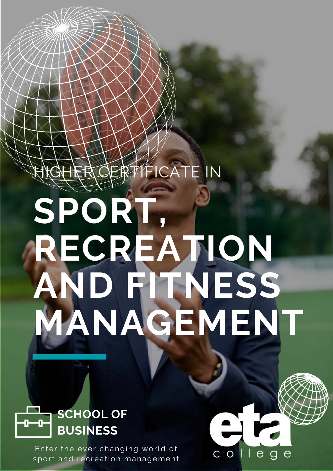# **HIFICATE IN**

# **SPORT, RECREATION AND FITNESS MANAGEMENT**

 $\triangleq$ 

C O



Enter the ever changing world of sport and recreation management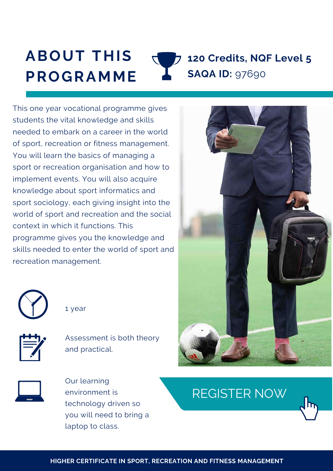#### **ABOUT THIS PROGRAMME 120 Credits, NQF Level 5 SAQA ID:** 97690

This one year vocational programme gives students the vital knowledge and skills needed to embark on a career in the world of sport, recreation or fitness management. You will learn the basics of managing a sport or recreation organisation and how to implement events. You will also acquire knowledge about sport informatics and sport sociology, each giving insight into the world of sport and recreation and the social context in which it functions. This programme gives you the knowledge and skills needed to enter the world of sport and recreation management.



1 year



Assessment is both theory and practical.



Our learning environment is technology driven so you will need to bring a laptop to class.



### [REGISTER](https://www.etacollege.com/admissions/online-applications/) NOW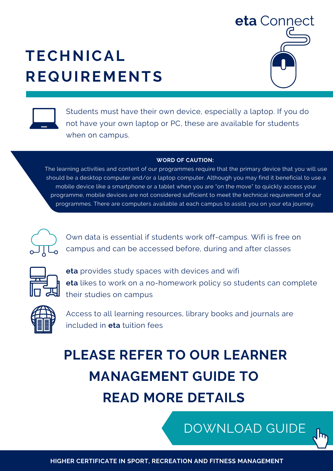### **TECHNICAL REQUIREMENTS**





Students must have their own device, especially a laptop. If you do not have your own laptop or PC, these are available for students when on campus.

#### **WORD OF CAUTION:**

The learning activities and content of our programmes require that the primary device that you will use should be a desktop computer and/or a laptop computer. Although you may find it beneficial to use a mobile device like a smartphone or a tablet when you are "on the move" to quickly access your programme, mobile devices are not considered sufficient to meet the technical requirement of our [programmes.](https://www.etacollege.com/admissions/online-applications/) There are computers available at each campus to assist you on your eta journey.



Own data is essential if students work off-campus. Wifi is free on campus and can be accessed before, during and after classes



**eta** provides study spaces with devices and wifi **eta** likes to work on a no-homework policy so students can complete their studies on campus



Access to all learning resources, library books and journals are included in **eta** tuition fees

# **PLEASE REFER TO OUR LEARNER MANAGEMENT GUIDE TO READ MORE DETAILS**

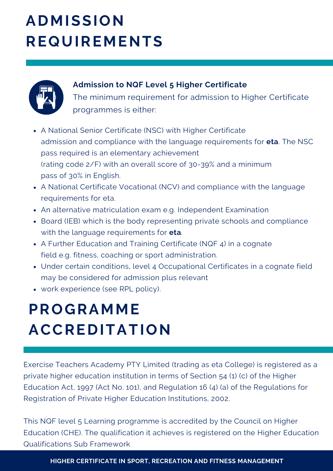## **ADMISSION REQUIREMENTS**



#### **Admission to NQF Level 5 Higher Certificate**

The minimum requirement for admission to Higher Certificate programmes is either:

- A National Senior Certificate (NSC) with Higher Certificate admission and compliance with the language requirements for **eta**. The NSC pass required is an elementary achievement (rating code 2/F) with an overall score of 30-39% and a minimum pass of 30% in English.
- A National Certificate Vocational (NCV) and compliance with the language requirements for eta.
- An alternative matriculation exam e.g. Independent Examination
- Board (IEB) which is the body representing private schools and compliance with the language requirements for **eta**.
- A Further Education and Training Certificate (NQF 4) in a cognate field e.g. fitness, coaching or sport administration.
- Under certain conditions, level 4 Occupational Certificates in a cognate field may be considered for admission plus relevant
- work experience (see RPL policy).

# **PROGRAMME ACCREDITATION**

Exercise Teachers Academy PTY Limited (trading as eta College) is registered as a private higher education institution in terms of Section 54 (1) (c) of the Higher Education Act, 1997 (Act No. 101), and Regulation 16 (4) (a) of the Regulations for Registration of Private Higher Education Institutions, 2002.

This NQF level 5 Learning programme is accredited by the Council on Higher Education (CHE). The qualification it achieves is registered on the Higher Education Qualifications Sub Framework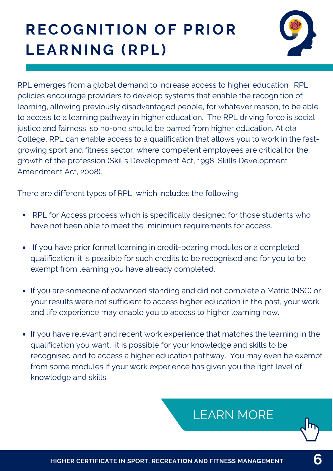# **RECOGNITION OF PRIOR LEARNING (RPL)**



RPL emerges from a global demand to increase access to higher education. RPL policies encourage providers to develop systems that enable the recognition of learning, allowing previously disadvantaged people, for whatever reason, to be able to access to a learning pathway in higher education. The RPL driving force is social justice and fairness, so no-one should be barred from higher education. At eta College, RPL can enable access to a qualification that allows you to work in the fastgrowing sport and fitness sector, where competent employees are critical for the growth of the profession (Skills Development Act, 1998, Skills Development Amendment Act, 2008).

There are different types of RPL, which includes the following

- RPL for Access process which is specifically designed for those students who have not been able to meet the minimum requirements for access.
- If you have prior formal learning in credit-bearing modules or a completed qualification, it is possible for such credits to be recognised and for you to be exempt from learning you have already completed.
- If you are someone of advanced standing and did not complete a Matric (NSC) or your results were not sufficient to access higher education in the past, your work and life experience may enable you to access to higher learning now.
- If you have relevant and recent work experience that matches the learning in the qualification you want, it is possible for your knowledge and skills to be recognised and to access a higher education pathway. You may even be exempt from some modules if your work experience has given you the right level of knowledge and skills.

### [LEARN](https://www.etacollege.com/educational-pathways/recognition-of-previous-education/) MORE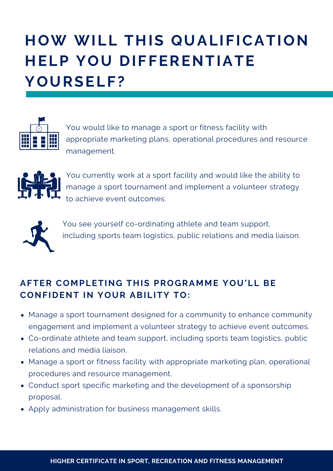# **HOW WILL THIS QUALIFICATION HELP YOU DIFFERENTIATE YOURSELF?**



You would like to manage a sport or fitness facility with appropriate marketing plans, operational procedures and resource management.



You currently work at a sport facility and would like the ability to manage a sport tournament and implement a volunteer strategy to achieve event outcomes.



You see yourself co-ordinating athlete and team support, including sports team logistics, public relations and media liaison.

#### **AFTER COMPLETING THIS PROGRAMME YOU'LL BE CONFIDENT IN YOUR ABILITY TO:**

- Manage a sport tournament designed for a community to enhance community engagement and implement a volunteer strategy to achieve event outcomes.
- Co-ordinate athlete and team support, including sports team logistics, public relations and media liaison.
- Manage a sport or fitness facility with appropriate marketing plan, operational procedures and resource management.
- Conduct sport specific marketing and the development of a sponsorship proposal.
- Apply administration for business management skills.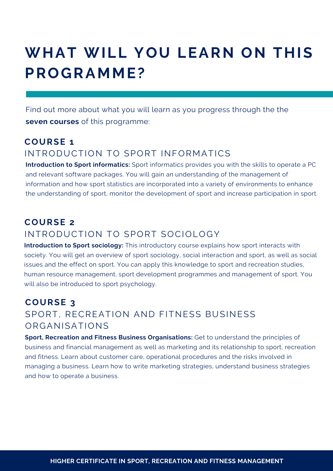### **WHAT WILL YOU LEARN ON THIS PROGRAMME?**

Find out more about what you will learn as you progress through the the **seven courses** of this programme:

#### **COURSE 1** INTRODUCTION TO SPORT INFORMATICS

**Introduction to Sport informatics:** Sport informatics provides you with the skills to operate a PC and relevant software packages. You will gain an understanding of the management of information and how sport statistics are incorporated into a variety of environments to enhance the understanding of sport, monitor the development of sport and increase participation in sport.

#### **COURSE 2**

#### INTRODUCTION TO SPORT SOCIOLOGY

**Introduction to Sport sociology:** This introductory course explains how sport interacts with society. You will get an overview of sport sociology, social interaction and sport, as well as social issues and the effect on sport. You can apply this knowledge to sport and recreation studies, human resource management, sport development programmes and management of sport. You will also be introduced to sport psychology.

#### **COURSE 3** SPORT, RECREATION AND FITNESS BUSINESS ORGANISATIONS

**Sport, Recreation and Fitness Business Organisations:** Get to understand the principles of business and financial management as well as marketing and its relationship to sport, recreation and fitness. Learn about customer care, operational procedures and the risks involved in managing a business. Learn how to write marketing strategies, understand business strategies and how to operate a business.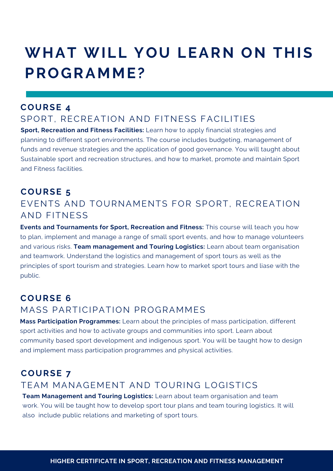### **WHAT WILL YOU LEARN ON THIS PROGRAMME?**

#### **COURSE 4**

#### SPORT, RECREATION AND FITNESS FACILITIES

**Sport, Recreation and Fitness Facilities:** Learn how to apply financial strategies and planning to different sport environments. The course includes budgeting, management of funds and revenue strategies and the application of good governance. You will taught about Sustainable sport and recreation structures, and how to market, promote and maintain Sport and Fitness facilities.

#### **COURSE 5** EVENTS AND TOURNAMENTS FOR SPORT, RECREATION AND FITNESS

**Events and Tournaments for Sport, Recreation and Fitness:** This course will teach you how to plan, implement and manage a range of small sport events, and how to manage volunteers and various risks. **Team management and Touring Logistics:** Learn about team organisation and teamwork. Understand the logistics and management of sport tours as well as the principles of sport tourism and strategies. Learn how to market sport tours and liase with the public.

#### **COURSE 6**

#### MASS PARTICIPATION PROGRAMMES

**Mass Participation Programmes:** Learn about the principles of mass participation, different sport activities and how to activate groups and communities into sport. Learn about community based sport development and indigenous sport. You will be taught how to design and implement mass participation programmes and physical activities.

#### **COURSE 7** TEAM MANAGEMENT AND TOURING LOGISTICS

**Team Management and Touring Logistics:** Learn about team organisation and team work. You will be taught how to develop sport tour plans and team touring logistics. It will also include public relations and marketing of sport tours.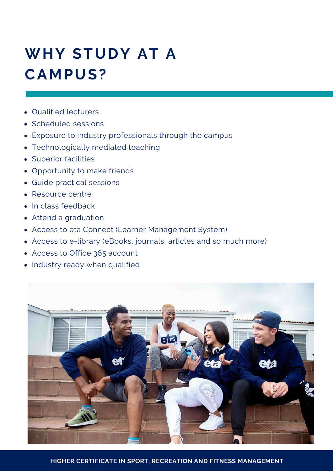# **WHY STUDY AT A CAMPUS?**

- Qualified lecturers
- Scheduled sessions
- Exposure to industry professionals through the campus
- Technologically mediated teaching
- Superior facilities
- Opportunity to make friends
- Guide practical sessions
- Resource centre
- In class feedback
- Attend a graduation
- Access to eta Connect (Learner Management System)
- Access to e-library (eBooks, journals, articles and so much more)
- Access to Office 365 account
- Industry ready when qualified



**HIGHER CERTIFICATE IN SPORT, RECREATION AND FITNESS MANAGEMENT**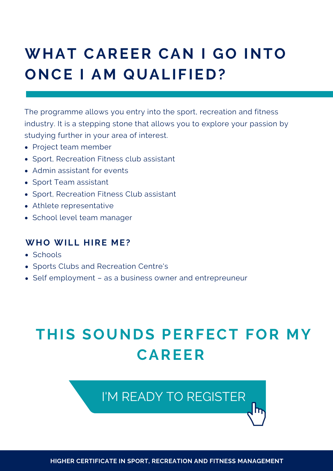## **WHAT CAREER CAN I GO INTO ONCE I AM QUALIFIED?**

The programme allows you entry into the sport, recreation and fitness industry. It is a stepping stone that allows you to explore your passion by studying further in your area of interest.

- Project team member
- Sport, Recreation Fitness club assistant
- Admin assistant for events
- Sport Team assistant
- Sport, Recreation Fitness Club assistant
- Athlete representative
- School level team manager

#### **WHO WILL HIRE ME?**

- Schools
- Sports Clubs and Recreation Centre's
- Self employment as a business owner and entrepreuneur

### **THIS SOUNDS PERFECT FOR MY CAREER**

### I'M READY TO [REGISTER](https://www.etacollege.com/admissions/online-applications/)